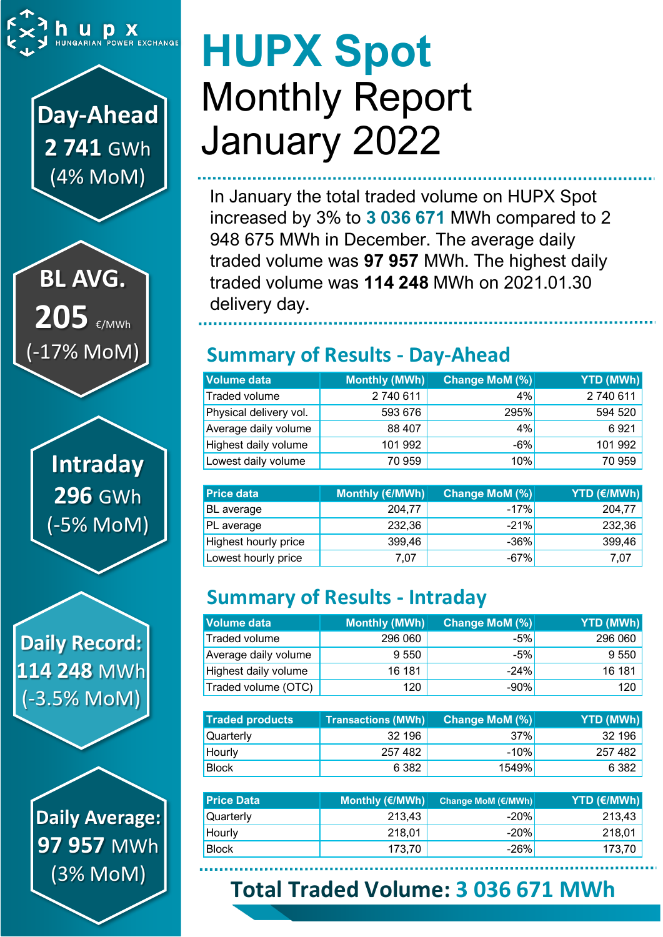

**Day-Ahead 2 741** GWh (4% MoM)

**BL AVG. 205** €/MWh (-17% MoM)

> **Intraday 296** GWh (-5% MoM)

**Daily Record: 114 248** MWh (-3.5% MoM)

> **Daily Average: 97 957** MWh (3% MoM)

# **HUPX Spot** Monthly Report January 2022

In January the total traded volume on HUPX Spot increased by 3% to **3 036 671** MWh compared to 2 948 675 MWh in December. The average daily traded volume was **97 957** MWh. The highest daily traded volume was **114 248** MWh on 2021.01.30 delivery day.

# **Summary of Results - Day-Ahead**

| Volume data            | Monthly (MWh) | Change MoM (%) | YTD (MWh) |
|------------------------|---------------|----------------|-----------|
| Traded volume          | 2740611       | 4%             | 2740611   |
| Physical delivery vol. | 593 676       | 295%           | 594 520   |
| Average daily volume   | 88 407        | 4%             | 6921      |
| Highest daily volume   | 101 992       | $-6%$          | 101 992   |
| Lowest daily volume    | 70 959        | 10%            | 70 959    |

| <b>Price data</b>    | Monthly (€/MWh) | Change MoM (%) | <b>YTD (€/MWh)</b> |
|----------------------|-----------------|----------------|--------------------|
| BL average           | 204,77          | $-17%$         | 204.77             |
| PL average           | 232,36          | $-21%$         | 232,36             |
| Highest hourly price | 399,46          | $-36%$         | 399,46             |
| Lowest hourly price  | 7,07            | $-67%$         | 7,07               |

# **Summary of Results - Intraday**

| <b>Volume data</b>   | Monthly (MWh) | <b>Change MoM (%)</b> | YTD (MWh) |
|----------------------|---------------|-----------------------|-----------|
| Traded volume        | 296 060       | $-5%$                 | 296 060   |
| Average daily volume | 9 5 5 0       | $-5%$                 | 9 5 5 0   |
| Highest daily volume | 16 181        | $-24%$                | 16 181    |
| Traded volume (OTC)  | 120           | $-90%$                | 120       |

| <b>Traded products</b> | <b>Transactions (MWh)</b> | <b>Change MoM (%)</b> | <b>YTD (MWh)</b> |
|------------------------|---------------------------|-----------------------|------------------|
| <b>Quarterly</b>       | 32 196                    | 37%                   | 32 196           |
| Hourly                 | 257 482                   | $-10%$                | 257 482          |
| <b>Block</b>           | 6 3 8 2                   | 1549%।                | 6 3 8 2          |

| <b>Price Data</b> | Monthly (€/MWh) | Change MoM (€/MWh) | YTD (€/MWh) |
|-------------------|-----------------|--------------------|-------------|
| Quarterly         | 213,43          | $-20%$             | 213,43      |
| Hourly            | 218,01          | $-20%$             | 218,01      |
| <b>Block</b>      | 173.70          | $-26%$             | 173,70      |

# **Total Traded Volume: 3 036 671 MWh**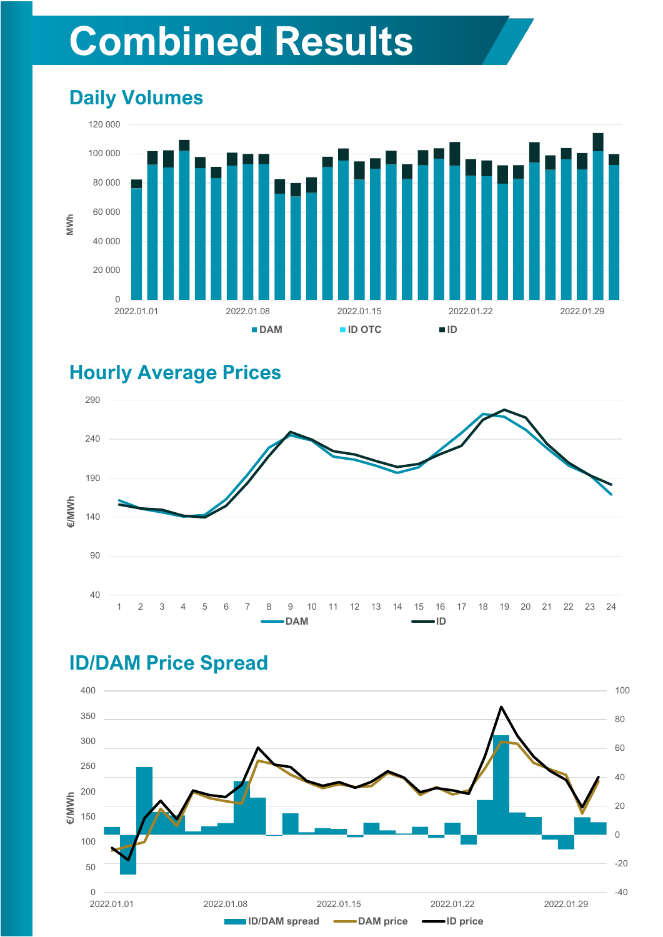# **Combined Results**

# **Daily Volumes**



### **Hourly Average Prices**



# **ID/DAM Price Spread**

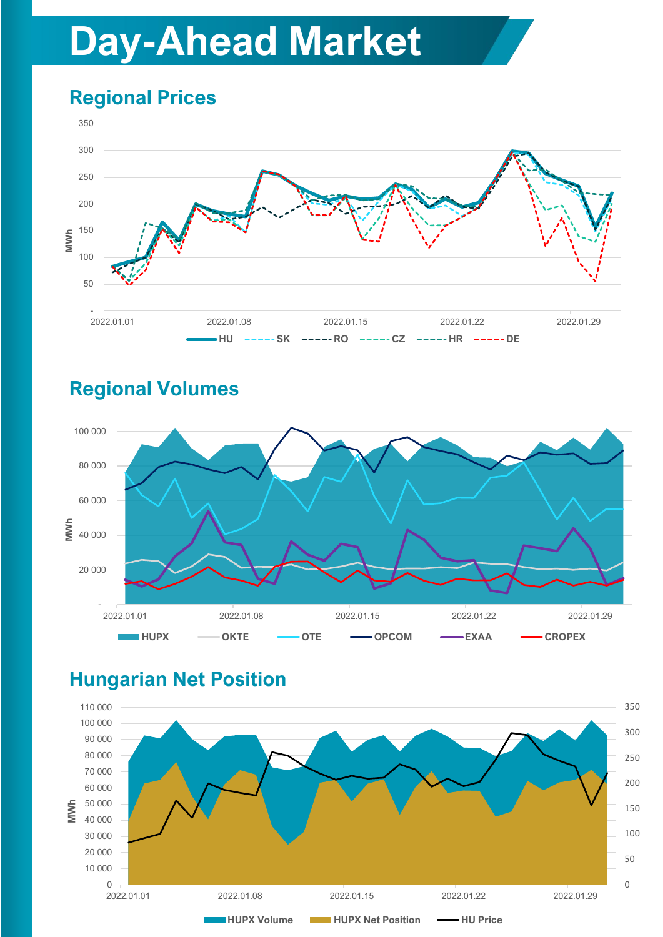# **Day-Ahead Market**

# **Regional Prices**







# **Hungarian Net Position**

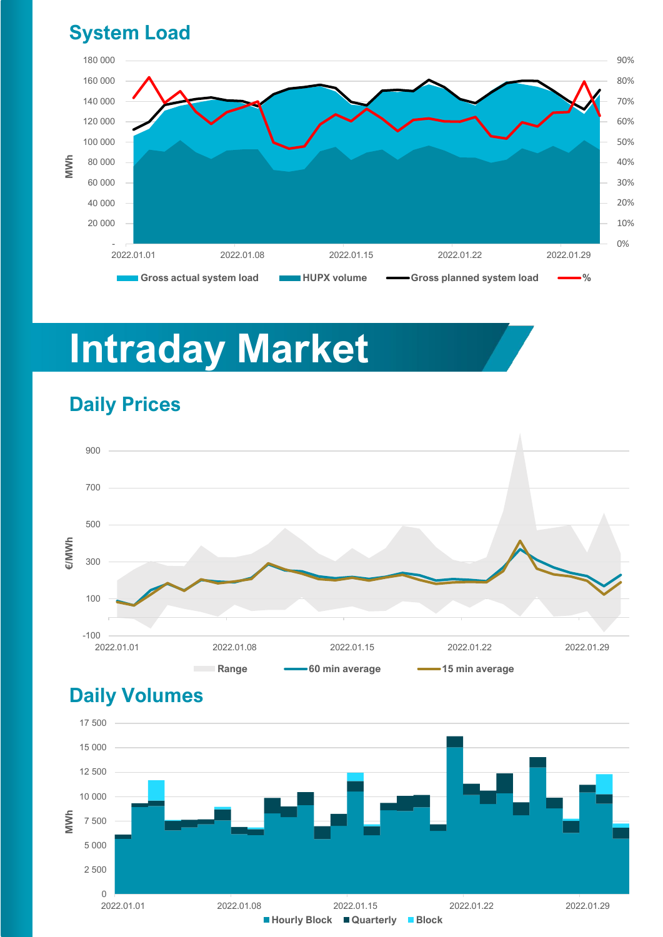### **System Load**



# **Intraday Market**

# -100 100 300 500 700 900 2022.01.01 2022.01.08 2022.01.15 2022.01.22 2022.01.29 **€/MWh Range 60 min average 15 min average**